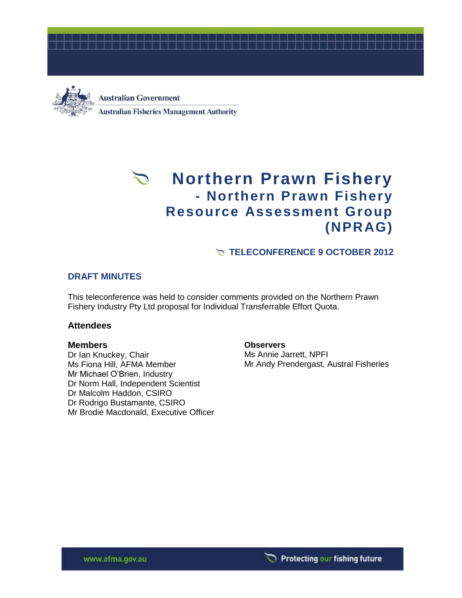



**Australian Government Australian Fisheries Management Authority** 

# **Northern Prawn Fishery - Northern Prawn Fishery Resource Assessment Group (NPRAG)**

## **TELECONFERENCE 9 OCTOBER 2012**

### **DRAFT MINUTES**

This teleconference was held to consider comments provided on the Northern Prawn Fishery Industry Pty Ltd proposal for Individual Transferrable Effort Quota.

#### **Attendees**

### **Members**

Dr Ian Knuckey, Chair Ms Fiona Hill, AFMA Member Mr Michael O'Brien, Industry Dr Norm Hall, Independent Scientist Dr Malcolm Haddon, CSIRO Dr Rodrigo Bustamante, CSIRO Mr Brodie Macdonald, Executive Officer

**Observers** Ms Annie Jarrett, NPFI Mr Andy Prendergast, Austral Fisheries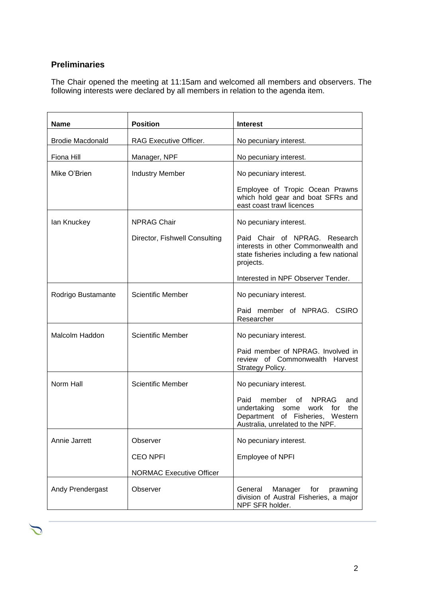# **Preliminaries**

 $\sum$ 

The Chair opened the meeting at 11:15am and welcomed all members and observers. The following interests were declared by all members in relation to the agenda item.

| <b>Name</b>             | <b>Position</b>                 | <b>Interest</b>                                                                                                                                                  |
|-------------------------|---------------------------------|------------------------------------------------------------------------------------------------------------------------------------------------------------------|
| <b>Brodie Macdonald</b> | RAG Executive Officer.          | No pecuniary interest.                                                                                                                                           |
| Fiona Hill              | Manager, NPF                    | No pecuniary interest.                                                                                                                                           |
| Mike O'Brien            | <b>Industry Member</b>          | No pecuniary interest.                                                                                                                                           |
|                         |                                 | Employee of Tropic Ocean Prawns<br>which hold gear and boat SFRs and<br>east coast trawl licences                                                                |
| lan Knuckey             | <b>NPRAG Chair</b>              | No pecuniary interest.                                                                                                                                           |
|                         | Director, Fishwell Consulting   | Paid Chair of NPRAG. Research<br>interests in other Commonwealth and<br>state fisheries including a few national<br>projects.                                    |
|                         |                                 | Interested in NPF Observer Tender.                                                                                                                               |
| Rodrigo Bustamante      | Scientific Member               | No pecuniary interest.                                                                                                                                           |
|                         |                                 | Paid member of NPRAG. CSIRO<br>Researcher                                                                                                                        |
| Malcolm Haddon          | <b>Scientific Member</b>        | No pecuniary interest.                                                                                                                                           |
|                         |                                 | Paid member of NPRAG. Involved in<br>review of Commonwealth Harvest<br>Strategy Policy.                                                                          |
| Norm Hall               | <b>Scientific Member</b>        | No pecuniary interest.                                                                                                                                           |
|                         |                                 | member<br>of<br><b>NPRAG</b><br>Paid<br>and<br>undertaking<br>work<br>for<br>the<br>some<br>Department of Fisheries, Western<br>Australia, unrelated to the NPF. |
| Annie Jarrett           | Observer                        | No pecuniary interest.                                                                                                                                           |
|                         | <b>CEO NPFI</b>                 | Employee of NPFI                                                                                                                                                 |
|                         | <b>NORMAC Executive Officer</b> |                                                                                                                                                                  |
| Andy Prendergast        | Observer                        | General<br>Manager<br>for<br>prawning<br>division of Austral Fisheries, a major<br>NPF SFR holder.                                                               |